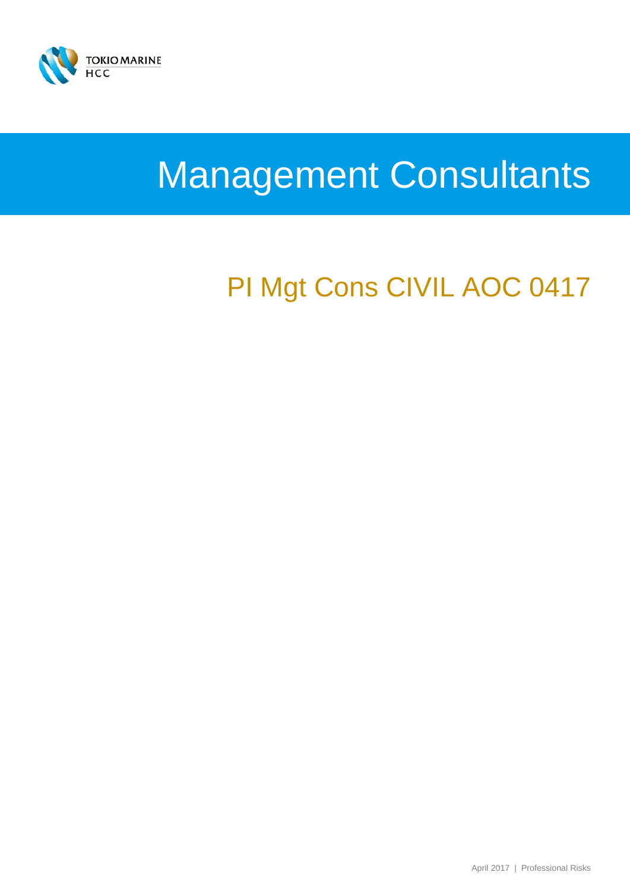

# Management Consultants

## PI Mgt Cons CIVIL AOC 0417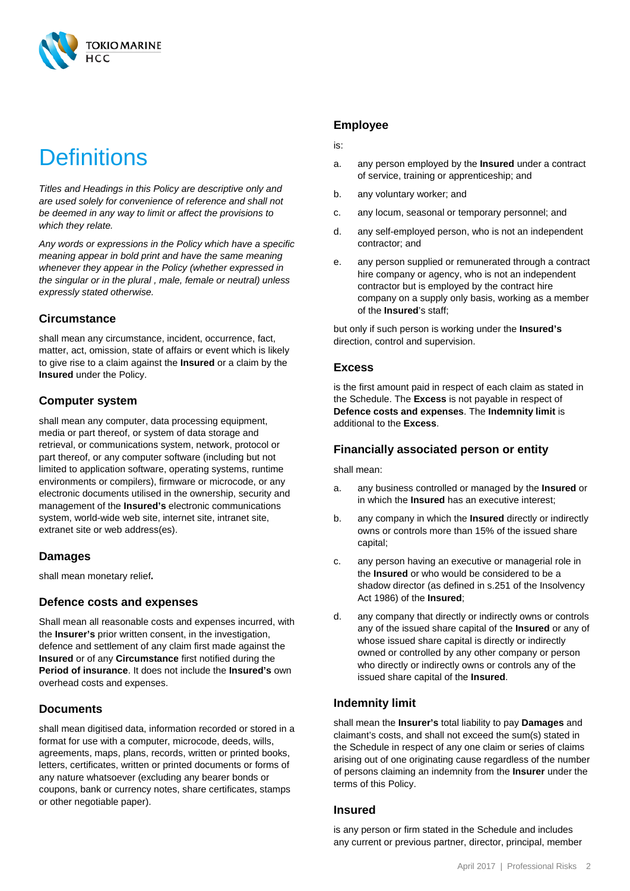

### **Definitions**

*Titles and Headings in this Policy are descriptive only and are used solely for convenience of reference and shall not be deemed in any way to limit or affect the provisions to which they relate.*

*Any words or expressions in the Policy which have a specific meaning appear in bold print and have the same meaning whenever they appear in the Policy (whether expressed in the singular or in the plural , male, female or neutral) unless expressly stated otherwise.*

#### **Circumstance**

shall mean any circumstance, incident, occurrence, fact, matter, act, omission, state of affairs or event which is likely to give rise to a claim against the **Insured** or a claim by the **Insured** under the Policy.

#### **Computer system**

shall mean any computer, data processing equipment, media or part thereof, or system of data storage and retrieval, or communications system, network, protocol or part thereof, or any computer software (including but not limited to application software, operating systems, runtime environments or compilers), firmware or microcode, or any electronic documents utilised in the ownership, security and management of the **Insured's** electronic communications system, world-wide web site, internet site, intranet site, extranet site or web address(es).

#### **Damages**

shall mean monetary relief**.**

#### **Defence costs and expenses**

Shall mean all reasonable costs and expenses incurred, with the **Insurer's** prior written consent, in the investigation, defence and settlement of any claim first made against the **Insured** or of any **Circumstance** first notified during the **Period of insurance**. It does not include the **Insured's** own overhead costs and expenses.

#### **Documents**

shall mean digitised data, information recorded or stored in a format for use with a computer, microcode, deeds, wills, agreements, maps, plans, records, written or printed books, letters, certificates, written or printed documents or forms of any nature whatsoever (excluding any bearer bonds or coupons, bank or currency notes, share certificates, stamps or other negotiable paper).

#### **Employee**

#### is:

- a. any person employed by the **Insured** under a contract of service, training or apprenticeship; and
- b. any voluntary worker; and
- c. any locum, seasonal or temporary personnel; and
- d. any self-employed person, who is not an independent contractor; and
- e. any person supplied or remunerated through a contract hire company or agency, who is not an independent contractor but is employed by the contract hire company on a supply only basis, working as a member of the **Insured**'s staff;

but only if such person is working under the **Insured's**  direction, control and supervision.

#### **Excess**

is the first amount paid in respect of each claim as stated in the Schedule. The **Excess** is not payable in respect of **Defence costs and expenses**. The **Indemnity limit** is additional to the **Excess**.

#### **Financially associated person or entity**

shall mean:

- a. any business controlled or managed by the **Insured** or in which the **Insured** has an executive interest;
- b. any company in which the **Insured** directly or indirectly owns or controls more than 15% of the issued share capital;
- c. any person having an executive or managerial role in the **Insured** or who would be considered to be a shadow director (as defined in s.251 of the Insolvency Act 1986) of the **Insured**;
- d. any company that directly or indirectly owns or controls any of the issued share capital of the **Insured** or any of whose issued share capital is directly or indirectly owned or controlled by any other company or person who directly or indirectly owns or controls any of the issued share capital of the **Insured**.

#### **Indemnity limit**

shall mean the **Insurer's** total liability to pay **Damages** and claimant's costs, and shall not exceed the sum(s) stated in the Schedule in respect of any one claim or series of claims arising out of one originating cause regardless of the number of persons claiming an indemnity from the **Insurer** under the terms of this Policy.

#### **Insured**

is any person or firm stated in the Schedule and includes any current or previous partner, director, principal, member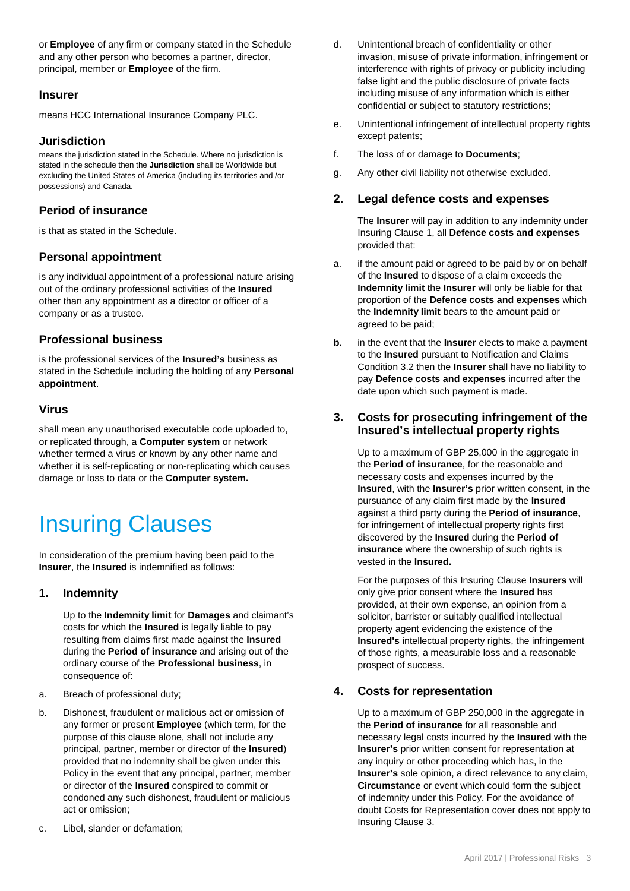or **Employee** of any firm or company stated in the Schedule and any other person who becomes a partner, director, principal, member or **Employee** of the firm.

#### **Insurer**

means HCC International Insurance Company PLC.

#### **Jurisdiction**

means the jurisdiction stated in the Schedule. Where no jurisdiction is stated in the schedule then the **Jurisdiction** shall be Worldwide but excluding the United States of America (including its territories and /or possessions) and Canada.

#### **Period of insurance**

is that as stated in the Schedule.

#### **Personal appointment**

is any individual appointment of a professional nature arising out of the ordinary professional activities of the **Insured** other than any appointment as a director or officer of a company or as a trustee.

#### **Professional business**

is the professional services of the **Insured's** business as stated in the Schedule including the holding of any **Personal appointment**.

#### **Virus**

shall mean any unauthorised executable code uploaded to, or replicated through, a **Computer system** or network whether termed a virus or known by any other name and whether it is self-replicating or non-replicating which causes damage or loss to data or the **Computer system.**

### Insuring Clauses

In consideration of the premium having been paid to the **Insurer**, the **Insured** is indemnified as follows:

#### **1. Indemnity**

Up to the **Indemnity limit** for **Damages** and claimant's costs for which the **Insured** is legally liable to pay resulting from claims first made against the **Insured** during the **Period of insurance** and arising out of the ordinary course of the **Professional business**, in consequence of:

- a. Breach of professional duty;
- b. Dishonest, fraudulent or malicious act or omission of any former or present **Employee** (which term, for the purpose of this clause alone, shall not include any principal, partner, member or director of the **Insured**) provided that no indemnity shall be given under this Policy in the event that any principal, partner, member or director of the **Insured** conspired to commit or condoned any such dishonest, fraudulent or malicious act or omission;
- c. Libel, slander or defamation;
- d. Unintentional breach of confidentiality or other invasion, misuse of private information, infringement or interference with rights of privacy or publicity including false light and the public disclosure of private facts including misuse of any information which is either confidential or subject to statutory restrictions;
- e. Unintentional infringement of intellectual property rights except patents;
- f. The loss of or damage to **Documents**;
- g. Any other civil liability not otherwise excluded.

#### **2. Legal defence costs and expenses**

The **Insurer** will pay in addition to any indemnity under Insuring Clause 1, all **Defence costs and expenses** provided that:

- a. if the amount paid or agreed to be paid by or on behalf of the **Insured** to dispose of a claim exceeds the **Indemnity limit** the **Insurer** will only be liable for that proportion of the **Defence costs and expenses** which the **Indemnity limit** bears to the amount paid or agreed to be paid;
- **b.** in the event that the **Insurer** elects to make a payment to the **Insured** pursuant to Notification and Claims Condition 3.2 then the **Insurer** shall have no liability to pay **Defence costs and expenses** incurred after the date upon which such payment is made.

#### **3. Costs for prosecuting infringement of the Insured's intellectual property rights**

Up to a maximum of GBP 25,000 in the aggregate in the **Period of insurance**, for the reasonable and necessary costs and expenses incurred by the **Insured**, with the **Insurer's** prior written consent, in the pursuance of any claim first made by the **Insured** against a third party during the **Period of insurance**, for infringement of intellectual property rights first discovered by the **Insured** during the **Period of insurance** where the ownership of such rights is vested in the **Insured.**

For the purposes of this Insuring Clause **Insurers** will only give prior consent where the **Insured** has provided, at their own expense, an opinion from a solicitor, barrister or suitably qualified intellectual property agent evidencing the existence of the **Insured's** intellectual property rights, the infringement of those rights, a measurable loss and a reasonable prospect of success.

#### **4. Costs for representation**

Up to a maximum of GBP 250,000 in the aggregate in the **Period of insurance** for all reasonable and necessary legal costs incurred by the **Insured** with the **Insurer's** prior written consent for representation at any inquiry or other proceeding which has, in the **Insurer's** sole opinion, a direct relevance to any claim, **Circumstance** or event which could form the subject of indemnity under this Policy. For the avoidance of doubt Costs for Representation cover does not apply to Insuring Clause 3.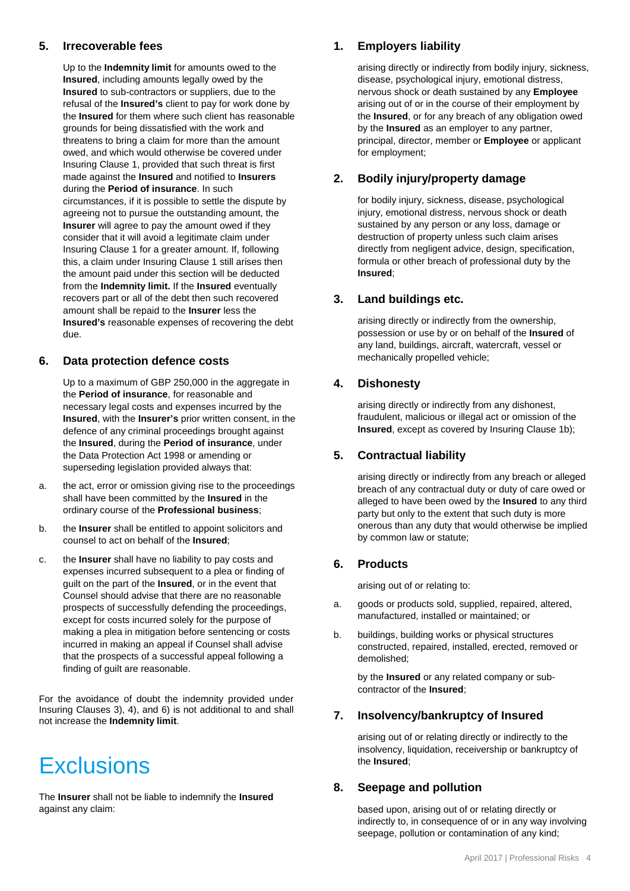#### **5. Irrecoverable fees**

Up to the **Indemnity limit** for amounts owed to the **Insured**, including amounts legally owed by the **Insured** to sub-contractors or suppliers, due to the refusal of the **Insured's** client to pay for work done by the **Insured** for them where such client has reasonable grounds for being dissatisfied with the work and threatens to bring a claim for more than the amount owed, and which would otherwise be covered under Insuring Clause 1, provided that such threat is first made against the **Insured** and notified to **Insurers** during the **Period of insurance**. In such circumstances, if it is possible to settle the dispute by agreeing not to pursue the outstanding amount, the **Insurer** will agree to pay the amount owed if they consider that it will avoid a legitimate claim under Insuring Clause 1 for a greater amount. If, following this, a claim under Insuring Clause 1 still arises then the amount paid under this section will be deducted from the **Indemnity limit.** If the **Insured** eventually recovers part or all of the debt then such recovered amount shall be repaid to the **Insurer** less the **Insured's** reasonable expenses of recovering the debt due.

#### **6. Data protection defence costs**

Up to a maximum of GBP 250,000 in the aggregate in the **Period of insurance**, for reasonable and necessary legal costs and expenses incurred by the **Insured**, with the **Insurer's** prior written consent, in the defence of any criminal proceedings brought against the **Insured**, during the **Period of insurance**, under the Data Protection Act 1998 or amending or superseding legislation provided always that:

- a. the act, error or omission giving rise to the proceedings shall have been committed by the **Insured** in the ordinary course of the **Professional business**;
- b. the **Insurer** shall be entitled to appoint solicitors and counsel to act on behalf of the **Insured**;
- c. the **Insurer** shall have no liability to pay costs and expenses incurred subsequent to a plea or finding of guilt on the part of the **Insured**, or in the event that Counsel should advise that there are no reasonable prospects of successfully defending the proceedings, except for costs incurred solely for the purpose of making a plea in mitigation before sentencing or costs incurred in making an appeal if Counsel shall advise that the prospects of a successful appeal following a finding of guilt are reasonable.

For the avoidance of doubt the indemnity provided under Insuring Clauses 3), 4), and 6) is not additional to and shall not increase the **Indemnity limit**.

### **Exclusions**

The **Insurer** shall not be liable to indemnify the **Insured**  against any claim:

#### **1. Employers liability**

arising directly or indirectly from bodily injury, sickness, disease, psychological injury, emotional distress, nervous shock or death sustained by any **Employee** arising out of or in the course of their employment by the **Insured**, or for any breach of any obligation owed by the **Insured** as an employer to any partner, principal, director, member or **Employee** or applicant for employment;

#### **2. Bodily injury/property damage**

for bodily injury, sickness, disease, psychological injury, emotional distress, nervous shock or death sustained by any person or any loss, damage or destruction of property unless such claim arises directly from negligent advice, design, specification, formula or other breach of professional duty by the **Insured**;

#### **3. Land buildings etc.**

arising directly or indirectly from the ownership, possession or use by or on behalf of the **Insured** of any land, buildings, aircraft, watercraft, vessel or mechanically propelled vehicle;

#### **4. Dishonesty**

arising directly or indirectly from any dishonest, fraudulent, malicious or illegal act or omission of the **Insured**, except as covered by Insuring Clause 1b);

#### **5. Contractual liability**

arising directly or indirectly from any breach or alleged breach of any contractual duty or duty of care owed or alleged to have been owed by the **Insured** to any third party but only to the extent that such duty is more onerous than any duty that would otherwise be implied by common law or statute;

#### **6. Products**

arising out of or relating to:

- a. goods or products sold, supplied, repaired, altered, manufactured, installed or maintained; or
- b. buildings, building works or physical structures constructed, repaired, installed, erected, removed or demolished;

by the **Insured** or any related company or subcontractor of the **Insured**;

#### **7. Insolvency/bankruptcy of Insured**

arising out of or relating directly or indirectly to the insolvency, liquidation, receivership or bankruptcy of the **Insured**;

#### **8. Seepage and pollution**

based upon, arising out of or relating directly or indirectly to, in consequence of or in any way involving seepage, pollution or contamination of any kind;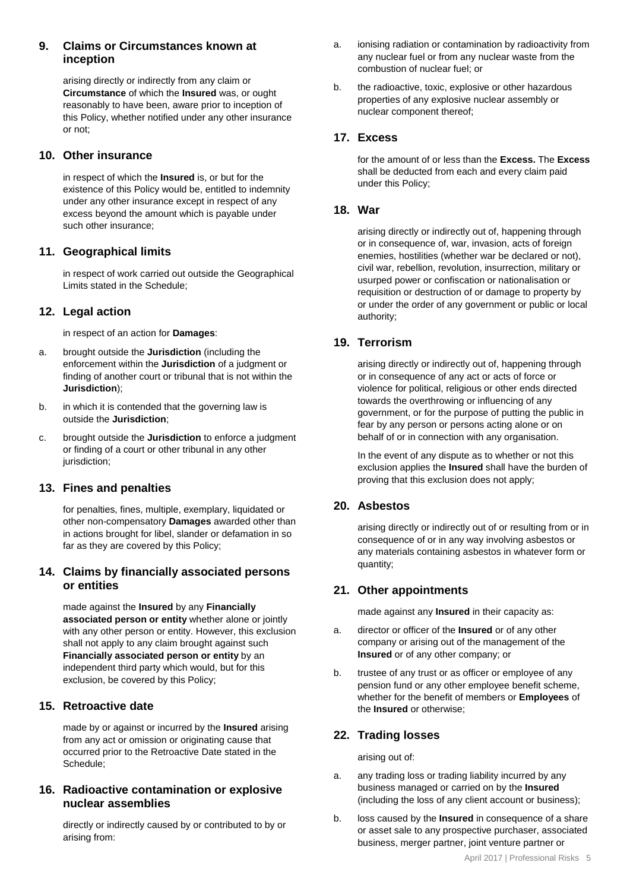#### **9. Claims or Circumstances known at inception**

arising directly or indirectly from any claim or **Circumstance** of which the **Insured** was, or ought reasonably to have been, aware prior to inception of this Policy, whether notified under any other insurance or not;

#### **10. Other insurance**

in respect of which the **Insured** is, or but for the existence of this Policy would be, entitled to indemnity under any other insurance except in respect of any excess beyond the amount which is payable under such other insurance;

#### **11. Geographical limits**

in respect of work carried out outside the Geographical Limits stated in the Schedule;

#### **12. Legal action**

in respect of an action for **Damages**:

- a. brought outside the **Jurisdiction** (including the enforcement within the **Jurisdiction** of a judgment or finding of another court or tribunal that is not within the **Jurisdiction**);
- b. in which it is contended that the governing law is outside the **Jurisdiction**;
- c. brought outside the **Jurisdiction** to enforce a judgment or finding of a court or other tribunal in any other jurisdiction;

#### **13. Fines and penalties**

for penalties, fines, multiple, exemplary, liquidated or other non-compensatory **Damages** awarded other than in actions brought for libel, slander or defamation in so far as they are covered by this Policy;

#### **14. Claims by financially associated persons or entities**

made against the **Insured** by any **Financially associated person or entity** whether alone or jointly with any other person or entity. However, this exclusion shall not apply to any claim brought against such **Financially associated person or entity** by an independent third party which would, but for this exclusion, be covered by this Policy;

#### **15. Retroactive date**

made by or against or incurred by the **Insured** arising from any act or omission or originating cause that occurred prior to the Retroactive Date stated in the Schedule;

#### **16. Radioactive contamination or explosive nuclear assemblies**

directly or indirectly caused by or contributed to by or arising from:

- a. ionising radiation or contamination by radioactivity from any nuclear fuel or from any nuclear waste from the combustion of nuclear fuel; or
- b. the radioactive, toxic, explosive or other hazardous properties of any explosive nuclear assembly or nuclear component thereof;

#### **17. Excess**

for the amount of or less than the **Excess.** The **Excess** shall be deducted from each and every claim paid under this Policy;

#### **18. War**

arising directly or indirectly out of, happening through or in consequence of, war, invasion, acts of foreign enemies, hostilities (whether war be declared or not), civil war, rebellion, revolution, insurrection, military or usurped power or confiscation or nationalisation or requisition or destruction of or damage to property by or under the order of any government or public or local authority;

#### **19. Terrorism**

arising directly or indirectly out of, happening through or in consequence of any act or acts of force or violence for political, religious or other ends directed towards the overthrowing or influencing of any government, or for the purpose of putting the public in fear by any person or persons acting alone or on behalf of or in connection with any organisation.

In the event of any dispute as to whether or not this exclusion applies the **Insured** shall have the burden of proving that this exclusion does not apply;

#### **20. Asbestos**

arising directly or indirectly out of or resulting from or in consequence of or in any way involving asbestos or any materials containing asbestos in whatever form or quantity;

#### **21. Other appointments**

made against any **Insured** in their capacity as:

- a. director or officer of the **Insured** or of any other company or arising out of the management of the **Insured** or of any other company; or
- b. trustee of any trust or as officer or employee of any pension fund or any other employee benefit scheme, whether for the benefit of members or **Employees** of the **Insured** or otherwise;

#### **22. Trading losses**

arising out of:

- a. any trading loss or trading liability incurred by any business managed or carried on by the **Insured** (including the loss of any client account or business);
- b. loss caused by the **Insured** in consequence of a share or asset sale to any prospective purchaser, associated business, merger partner, joint venture partner or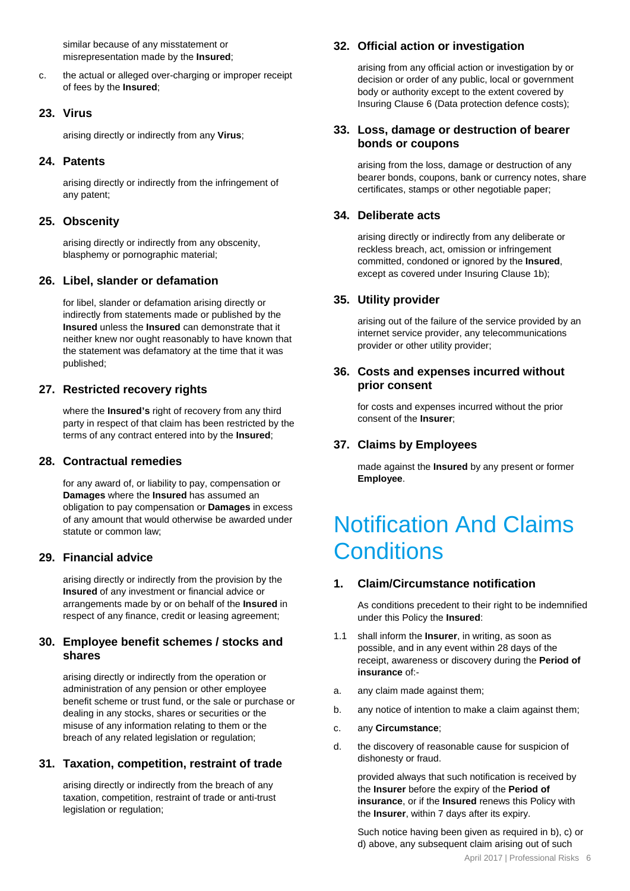similar because of any misstatement or misrepresentation made by the **Insured**;

c. the actual or alleged over-charging or improper receipt of fees by the **Insured**;

#### **23. Virus**

arising directly or indirectly from any **Virus**;

#### **24. Patents**

arising directly or indirectly from the infringement of any patent;

#### **25. Obscenity**

arising directly or indirectly from any obscenity, blasphemy or pornographic material;

#### **26. Libel, slander or defamation**

for libel, slander or defamation arising directly or indirectly from statements made or published by the **Insured** unless the **Insured** can demonstrate that it neither knew nor ought reasonably to have known that the statement was defamatory at the time that it was published;

#### **27. Restricted recovery rights**

where the **Insured's** right of recovery from any third party in respect of that claim has been restricted by the terms of any contract entered into by the **Insured**;

#### **28. Contractual remedies**

for any award of, or liability to pay, compensation or **Damages** where the **Insured** has assumed an obligation to pay compensation or **Damages** in excess of any amount that would otherwise be awarded under statute or common law;

#### **29. Financial advice**

arising directly or indirectly from the provision by the **Insured** of any investment or financial advice or arrangements made by or on behalf of the **Insured** in respect of any finance, credit or leasing agreement;

#### **30. Employee benefit schemes / stocks and shares**

arising directly or indirectly from the operation or administration of any pension or other employee benefit scheme or trust fund, or the sale or purchase or dealing in any stocks, shares or securities or the misuse of any information relating to them or the breach of any related legislation or regulation;

#### **31. Taxation, competition, restraint of trade**

arising directly or indirectly from the breach of any taxation, competition, restraint of trade or anti-trust legislation or regulation;

#### **32. Official action or investigation**

arising from any official action or investigation by or decision or order of any public, local or government body or authority except to the extent covered by Insuring Clause 6 (Data protection defence costs);

#### **33. Loss, damage or destruction of bearer bonds or coupons**

arising from the loss, damage or destruction of any bearer bonds, coupons, bank or currency notes, share certificates, stamps or other negotiable paper;

#### **34. Deliberate acts**

arising directly or indirectly from any deliberate or reckless breach, act, omission or infringement committed, condoned or ignored by the **Insured**, except as covered under Insuring Clause 1b);

#### **35. Utility provider**

arising out of the failure of the service provided by an internet service provider, any telecommunications provider or other utility provider;

#### **36. Costs and expenses incurred without prior consent**

for costs and expenses incurred without the prior consent of the **Insurer**;

#### **37. Claims by Employees**

made against the **Insured** by any present or former **Employee**.

### Notification And Claims **Conditions**

#### **1. Claim/Circumstance notification**

As conditions precedent to their right to be indemnified under this Policy the **Insured**:

- 1.1 shall inform the **Insurer**, in writing, as soon as possible, and in any event within 28 days of the receipt, awareness or discovery during the **Period of insurance** of:-
- a. any claim made against them;
- b. any notice of intention to make a claim against them;
- c. any **Circumstance**;
- d. the discovery of reasonable cause for suspicion of dishonesty or fraud.

provided always that such notification is received by the **Insurer** before the expiry of the **Period of insurance**, or if the **Insured** renews this Policy with the **Insurer**, within 7 days after its expiry.

Such notice having been given as required in b), c) or d) above, any subsequent claim arising out of such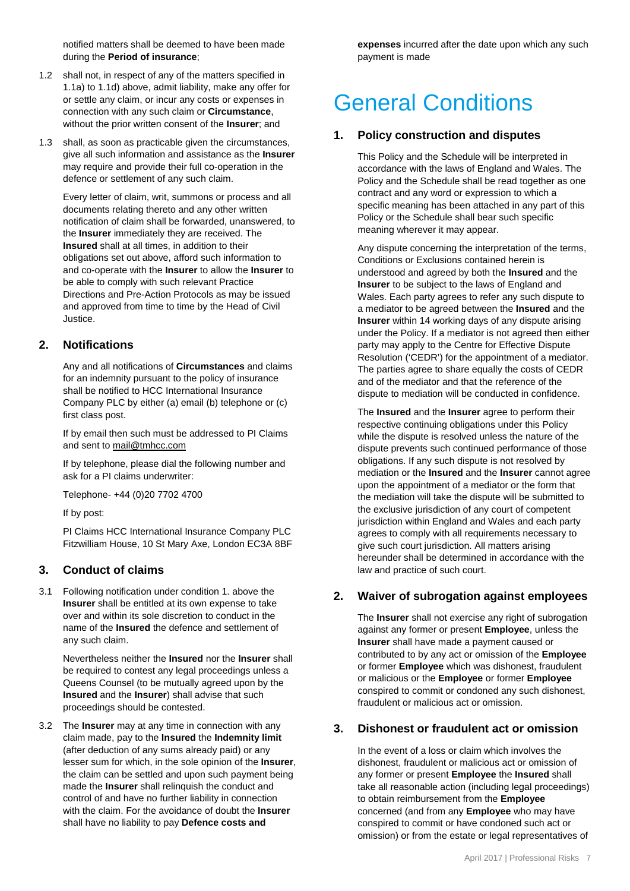notified matters shall be deemed to have been made during the **Period of insurance**;

- 1.2 shall not, in respect of any of the matters specified in 1.1a) to 1.1d) above, admit liability, make any offer for or settle any claim, or incur any costs or expenses in connection with any such claim or **Circumstance**, without the prior written consent of the **Insurer**; and
- 1.3 shall, as soon as practicable given the circumstances, give all such information and assistance as the **Insurer** may require and provide their full co-operation in the defence or settlement of any such claim.

Every letter of claim, writ, summons or process and all documents relating thereto and any other written notification of claim shall be forwarded, unanswered, to the **Insurer** immediately they are received. The **Insured** shall at all times, in addition to their obligations set out above, afford such information to and co-operate with the **Insurer** to allow the **Insurer** to be able to comply with such relevant Practice Directions and Pre-Action Protocols as may be issued and approved from time to time by the Head of Civil Justice.

#### **2. Notifications**

Any and all notifications of **Circumstances** and claims for an indemnity pursuant to the policy of insurance shall be notified to HCC International Insurance Company PLC by either (a) email (b) telephone or (c) first class post.

If by email then such must be addressed to PI Claims and sent t[o mail@tmhcc.com](mailto:mail@tmhcc.com)

If by telephone, please dial the following number and ask for a PI claims underwriter:

Telephone- +44 (0)20 7702 4700

If by post:

PI Claims HCC International Insurance Company PLC Fitzwilliam House, 10 St Mary Axe, London EC3A 8BF

#### **3. Conduct of claims**

3.1 Following notification under condition 1. above the **Insurer** shall be entitled at its own expense to take over and within its sole discretion to conduct in the name of the **Insured** the defence and settlement of any such claim.

> Nevertheless neither the **Insured** nor the **Insurer** shall be required to contest any legal proceedings unless a Queens Counsel (to be mutually agreed upon by the **Insured** and the **Insurer**) shall advise that such proceedings should be contested.

3.2 The **Insurer** may at any time in connection with any claim made, pay to the **Insured** the **Indemnity limit** (after deduction of any sums already paid) or any lesser sum for which, in the sole opinion of the **Insurer**, the claim can be settled and upon such payment being made the **Insurer** shall relinquish the conduct and control of and have no further liability in connection with the claim. For the avoidance of doubt the **Insurer** shall have no liability to pay **Defence costs and** 

**expenses** incurred after the date upon which any such payment is made

### General Conditions

#### **1. Policy construction and disputes**

This Policy and the Schedule will be interpreted in accordance with the laws of England and Wales. The Policy and the Schedule shall be read together as one contract and any word or expression to which a specific meaning has been attached in any part of this Policy or the Schedule shall bear such specific meaning wherever it may appear.

Any dispute concerning the interpretation of the terms, Conditions or Exclusions contained herein is understood and agreed by both the **Insured** and the **Insurer** to be subject to the laws of England and Wales. Each party agrees to refer any such dispute to a mediator to be agreed between the **Insured** and the **Insurer** within 14 working days of any dispute arising under the Policy. If a mediator is not agreed then either party may apply to the Centre for Effective Dispute Resolution ('CEDR') for the appointment of a mediator. The parties agree to share equally the costs of CEDR and of the mediator and that the reference of the dispute to mediation will be conducted in confidence.

The **Insured** and the **Insurer** agree to perform their respective continuing obligations under this Policy while the dispute is resolved unless the nature of the dispute prevents such continued performance of those obligations. If any such dispute is not resolved by mediation or the **Insured** and the **Insurer** cannot agree upon the appointment of a mediator or the form that the mediation will take the dispute will be submitted to the exclusive jurisdiction of any court of competent jurisdiction within England and Wales and each party agrees to comply with all requirements necessary to give such court jurisdiction. All matters arising hereunder shall be determined in accordance with the law and practice of such court.

#### **2. Waiver of subrogation against employees**

The **Insurer** shall not exercise any right of subrogation against any former or present **Employee**, unless the **Insurer** shall have made a payment caused or contributed to by any act or omission of the **Employee** or former **Employee** which was dishonest, fraudulent or malicious or the **Employee** or former **Employee** conspired to commit or condoned any such dishonest, fraudulent or malicious act or omission.

#### **3. Dishonest or fraudulent act or omission**

In the event of a loss or claim which involves the dishonest, fraudulent or malicious act or omission of any former or present **Employee** the **Insured** shall take all reasonable action (including legal proceedings) to obtain reimbursement from the **Employee**  concerned (and from any **Employee** who may have conspired to commit or have condoned such act or omission) or from the estate or legal representatives of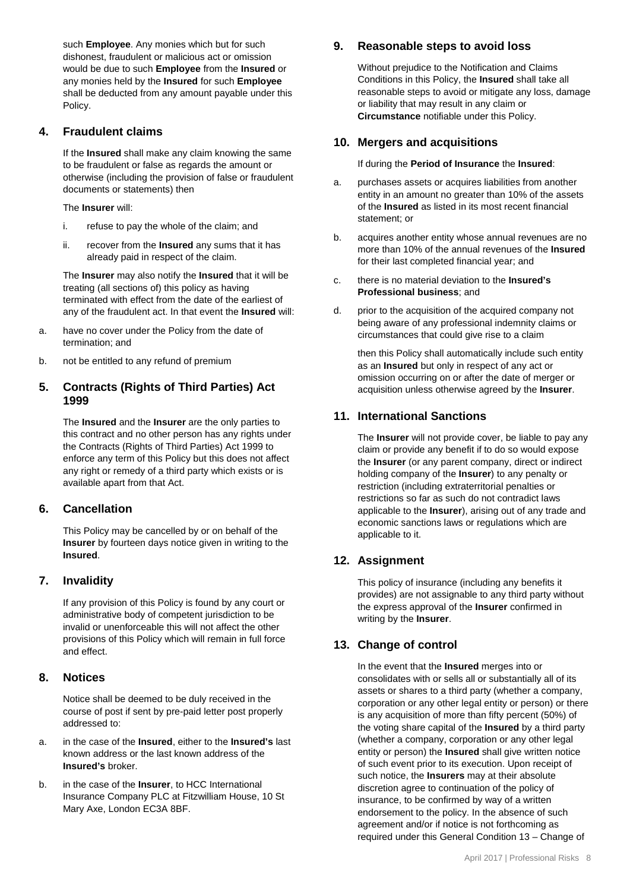such **Employee**. Any monies which but for such dishonest, fraudulent or malicious act or omission would be due to such **Employee** from the **Insured** or any monies held by the **Insured** for such **Employee** shall be deducted from any amount payable under this Policy.

#### **4. Fraudulent claims**

If the **Insured** shall make any claim knowing the same to be fraudulent or false as regards the amount or otherwise (including the provision of false or fraudulent documents or statements) then

The **Insurer** will:

- i. refuse to pay the whole of the claim; and
- ii. recover from the **Insured** any sums that it has already paid in respect of the claim.

The **Insurer** may also notify the **Insured** that it will be treating (all sections of) this policy as having terminated with effect from the date of the earliest of any of the fraudulent act. In that event the **Insured** will:

- a. have no cover under the Policy from the date of termination; and
- b. not be entitled to any refund of premium

#### **5. Contracts (Rights of Third Parties) Act 1999**

The **Insured** and the **Insurer** are the only parties to this contract and no other person has any rights under the Contracts (Rights of Third Parties) Act 1999 to enforce any term of this Policy but this does not affect any right or remedy of a third party which exists or is available apart from that Act.

#### **6. Cancellation**

This Policy may be cancelled by or on behalf of the **Insurer** by fourteen days notice given in writing to the **Insured**.

#### **7. Invalidity**

If any provision of this Policy is found by any court or administrative body of competent jurisdiction to be invalid or unenforceable this will not affect the other provisions of this Policy which will remain in full force and effect.

#### **8. Notices**

Notice shall be deemed to be duly received in the course of post if sent by pre-paid letter post properly addressed to:

- a. in the case of the **Insured**, either to the **Insured's** last known address or the last known address of the **Insured's** broker.
- b. in the case of the **Insurer**, to HCC International Insurance Company PLC at Fitzwilliam House, 10 St Mary Axe, London EC3A 8BF.

#### **9. Reasonable steps to avoid loss**

Without prejudice to the Notification and Claims Conditions in this Policy, the **Insured** shall take all reasonable steps to avoid or mitigate any loss, damage or liability that may result in any claim or **Circumstance** notifiable under this Policy.

#### **10. Mergers and acquisitions**

If during the **Period of Insurance** the **Insured**:

- a. purchases assets or acquires liabilities from another entity in an amount no greater than 10% of the assets of the **Insured** as listed in its most recent financial statement; or
- b. acquires another entity whose annual revenues are no more than 10% of the annual revenues of the **Insured** for their last completed financial year; and
- c. there is no material deviation to the **Insured's Professional business**; and
- d. prior to the acquisition of the acquired company not being aware of any professional indemnity claims or circumstances that could give rise to a claim

then this Policy shall automatically include such entity as an **Insured** but only in respect of any act or omission occurring on or after the date of merger or acquisition unless otherwise agreed by the **Insurer**.

#### **11. International Sanctions**

The **Insurer** will not provide cover, be liable to pay any claim or provide any benefit if to do so would expose the **Insurer** (or any parent company, direct or indirect holding company of the **Insurer**) to any penalty or restriction (including extraterritorial penalties or restrictions so far as such do not contradict laws applicable to the **Insurer**), arising out of any trade and economic sanctions laws or regulations which are applicable to it.

#### **12. Assignment**

This policy of insurance (including any benefits it provides) are not assignable to any third party without the express approval of the **Insurer** confirmed in writing by the **Insurer**.

#### **13. Change of control**

In the event that the **Insured** merges into or consolidates with or sells all or substantially all of its assets or shares to a third party (whether a company, corporation or any other legal entity or person) or there is any acquisition of more than fifty percent (50%) of the voting share capital of the **Insured** by a third party (whether a company, corporation or any other legal entity or person) the **Insured** shall give written notice of such event prior to its execution. Upon receipt of such notice, the **Insurers** may at their absolute discretion agree to continuation of the policy of insurance, to be confirmed by way of a written endorsement to the policy. In the absence of such agreement and/or if notice is not forthcoming as required under this General Condition 13 – Change of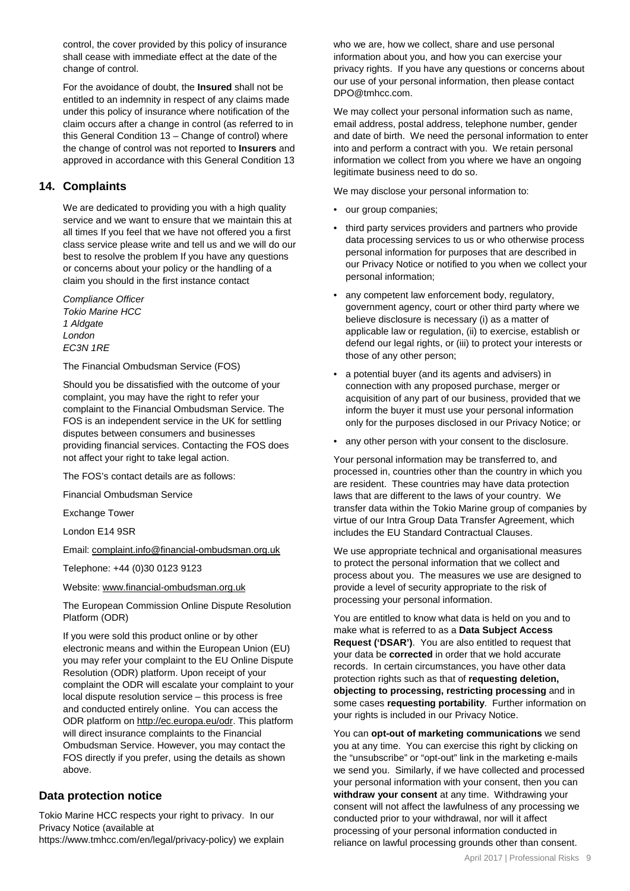control, the cover provided by this policy of insurance shall cease with immediate effect at the date of the change of control.

For the avoidance of doubt, the **Insured** shall not be entitled to an indemnity in respect of any claims made under this policy of insurance where notification of the claim occurs after a change in control (as referred to in this General Condition 13 – Change of control) where the change of control was not reported to **Insurers** and approved in accordance with this General Condition 13

#### **14. Complaints**

We are dedicated to providing you with a high quality service and we want to ensure that we maintain this at all times If you feel that we have not offered you a first class service please write and tell us and we will do our best to resolve the problem If you have any questions or concerns about your policy or the handling of a claim you should in the first instance contact

*Compliance Officer Tokio Marine HCC 1 Aldgate London EC3N 1RE*

The Financial Ombudsman Service (FOS)

Should you be dissatisfied with the outcome of your complaint, you may have the right to refer your complaint to the Financial Ombudsman Service. The FOS is an independent service in the UK for settling disputes between consumers and businesses providing financial services. Contacting the FOS does not affect your right to take legal action.

The FOS's contact details are as follows:

Financial Ombudsman Service

Exchange Tower

London E14 9SR

Email: [complaint.info@financial-ombudsman.org.uk](mailto:complaint.info@financial-ombudsman.org.uk)

Telephone: +44 (0)30 0123 9123

Website: [www.financial-ombudsman.org.uk](http://www.financial-ombudsman.org.uk/)

The European Commission Online Dispute Resolution Platform (ODR)

If you were sold this product online or by other electronic means and within the European Union (EU) you may refer your complaint to the EU Online Dispute Resolution (ODR) platform. Upon receipt of your complaint the ODR will escalate your complaint to your local dispute resolution service – this process is free and conducted entirely online. You can access the ODR platform o[n http://ec.europa.eu/odr.](http://ec.europa.eu/odr) This platform will direct insurance complaints to the Financial Ombudsman Service. However, you may contact the FOS directly if you prefer, using the details as shown above.

#### **Data protection notice**

Tokio Marine HCC respects your right to privacy. In our Privacy Notice (available at https://www.tmhcc.com/en/legal/privacy-policy) we explain who we are, how we collect, share and use personal information about you, and how you can exercise your privacy rights. If you have any questions or concerns about our use of your personal information, then please contact DPO@tmhcc.com.

We may collect your personal information such as name, email address, postal address, telephone number, gender and date of birth. We need the personal information to enter into and perform a contract with you. We retain personal information we collect from you where we have an ongoing legitimate business need to do so.

We may disclose your personal information to:

- our group companies;
- third party services providers and partners who provide data processing services to us or who otherwise process personal information for purposes that are described in our Privacy Notice or notified to you when we collect your personal information;
- any competent law enforcement body, regulatory, government agency, court or other third party where we believe disclosure is necessary (i) as a matter of applicable law or regulation, (ii) to exercise, establish or defend our legal rights, or (iii) to protect your interests or those of any other person;
- a potential buyer (and its agents and advisers) in connection with any proposed purchase, merger or acquisition of any part of our business, provided that we inform the buyer it must use your personal information only for the purposes disclosed in our Privacy Notice; or
- any other person with your consent to the disclosure.

Your personal information may be transferred to, and processed in, countries other than the country in which you are resident. These countries may have data protection laws that are different to the laws of your country. We transfer data within the Tokio Marine group of companies by virtue of our Intra Group Data Transfer Agreement, which includes the EU Standard Contractual Clauses.

We use appropriate technical and organisational measures to protect the personal information that we collect and process about you. The measures we use are designed to provide a level of security appropriate to the risk of processing your personal information.

You are entitled to know what data is held on you and to make what is referred to as a **Data Subject Access Request ('DSAR')**. You are also entitled to request that your data be **corrected** in order that we hold accurate records. In certain circumstances, you have other data protection rights such as that of **requesting deletion, objecting to processing, restricting processing** and in some cases **requesting portability**. Further information on your rights is included in our Privacy Notice.

You can **opt-out of marketing communications** we send you at any time. You can exercise this right by clicking on the "unsubscribe" or "opt-out" link in the marketing e-mails we send you. Similarly, if we have collected and processed your personal information with your consent, then you can **withdraw your consent** at any time. Withdrawing your consent will not affect the lawfulness of any processing we conducted prior to your withdrawal, nor will it affect processing of your personal information conducted in reliance on lawful processing grounds other than consent.